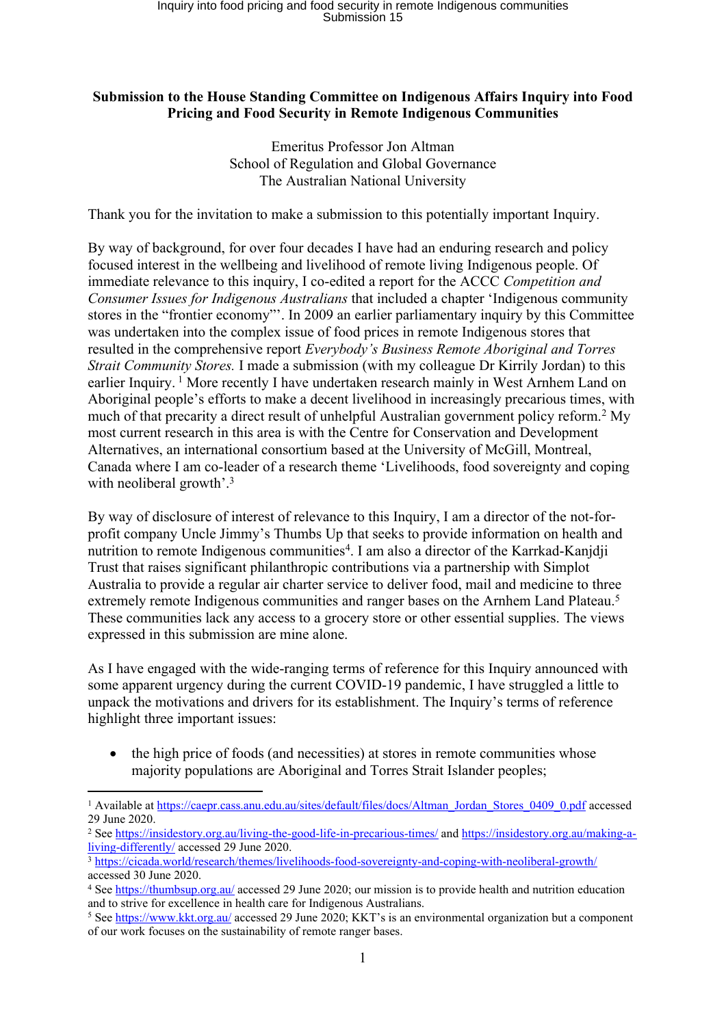## **Submission to the House Standing Committee on Indigenous Affairs Inquiry into Food Pricing and Food Security in Remote Indigenous Communities**

Emeritus Professor Jon Altman School of Regulation and Global Governance The Australian National University

Thank you for the invitation to make a submission to this potentially important Inquiry.

By way of background, for over four decades I have had an enduring research and policy focused interest in the wellbeing and livelihood of remote living Indigenous people. Of immediate relevance to this inquiry, I co-edited a report for the ACCC *Competition and Consumer Issues for Indigenous Australians* that included a chapter 'Indigenous community stores in the "frontier economy"'. In 2009 an earlier parliamentary inquiry by this Committee was undertaken into the complex issue of food prices in remote Indigenous stores that resulted in the comprehensive report *Everybody's Business Remote Aboriginal and Torres Strait Community Stores.* I made a submission (with my colleague Dr Kirrily Jordan) to this earlier Inquiry. <sup>1</sup> More recently I have undertaken research mainly in West Arnhem Land on Aboriginal people's efforts to make a decent livelihood in increasingly precarious times, with much of that precarity a direct result of unhelpful Australian government policy reform.<sup>2</sup> My most current research in this area is with the Centre for Conservation and Development Alternatives, an international consortium based at the University of McGill, Montreal, Canada where I am co-leader of a research theme 'Livelihoods, food sovereignty and coping with neoliberal growth'.<sup>3</sup>

By way of disclosure of interest of relevance to this Inquiry, I am a director of the not-forprofit company Uncle Jimmy's Thumbs Up that seeks to provide information on health and nutrition to remote Indigenous communities<sup>4</sup>. I am also a director of the Karrkad-Kanjdji Trust that raises significant philanthropic contributions via a partnership with Simplot Australia to provide a regular air charter service to deliver food, mail and medicine to three extremely remote Indigenous communities and ranger bases on the Arnhem Land Plateau.<sup>5</sup> These communities lack any access to a grocery store or other essential supplies. The views expressed in this submission are mine alone.

As I have engaged with the wide-ranging terms of reference for this Inquiry announced with some apparent urgency during the current COVID-19 pandemic, I have struggled a little to unpack the motivations and drivers for its establishment. The Inquiry's terms of reference highlight three important issues:

• the high price of foods (and necessities) at stores in remote communities whose majority populations are Aboriginal and Torres Strait Islander peoples;

<sup>1</sup> Available at [https://caepr.cass.anu.edu.au/sites/default/files/docs/Altman\\_Jordan\\_Stores\\_0409\\_0.pdf](https://caepr.cass.anu.edu.au/sites/default/files/docs/Altman_Jordan_Stores_0409_0.pdf) accessed 29 June 2020.

<sup>2</sup> See <https://insidestory.org.au/living-the-good-life-in-precarious-times/> and [https://insidestory.org.au/making-a](https://insidestory.org.au/making-a-living-differently/)[living-differently/](https://insidestory.org.au/making-a-living-differently/) accessed 29 June 2020.

<sup>3</sup> <https://cicada.world/research/themes/livelihoods-food-sovereignty-and-coping-with-neoliberal-growth/> accessed 30 June 2020.

<sup>4</sup> See <https://thumbsup.org.au/> accessed 29 June 2020; our mission is to provide health and nutrition education and to strive for excellence in health care for Indigenous Australians.

<sup>&</sup>lt;sup>5</sup> See <https://www.kkt.org.au/> accessed 29 June 2020; KKT's is an environmental organization but a component of our work focuses on the sustainability of remote ranger bases.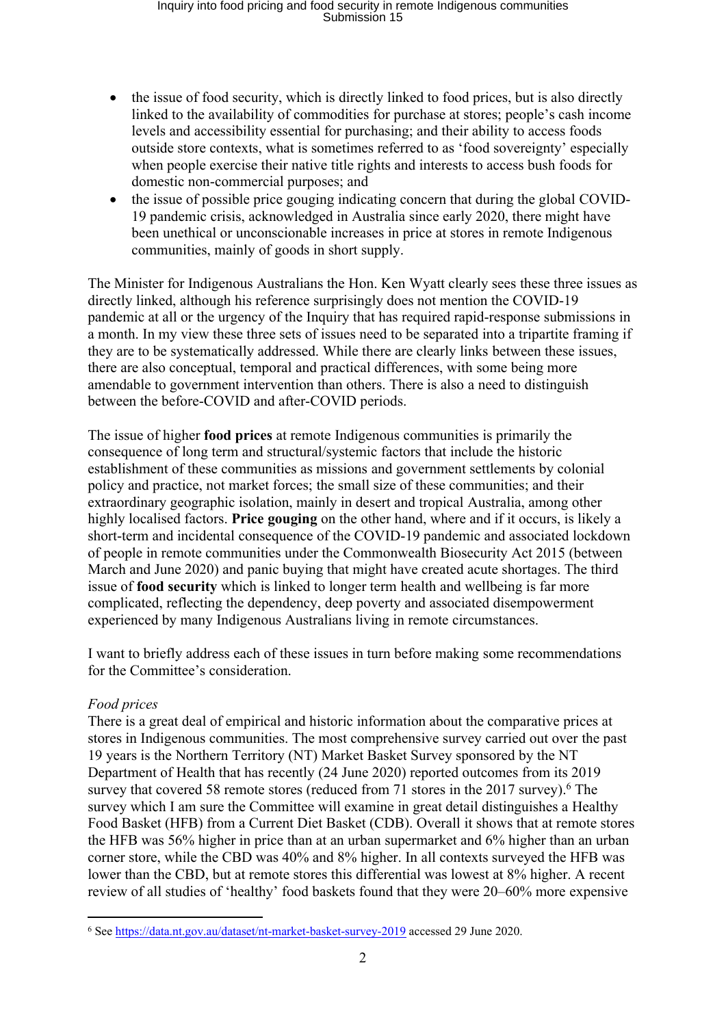# Inquiry into food pricing and food security in remote Indigenous communities Submission 15

- the issue of food security, which is directly linked to food prices, but is also directly linked to the availability of commodities for purchase at stores; people's cash income levels and accessibility essential for purchasing; and their ability to access foods outside store contexts, what is sometimes referred to as 'food sovereignty' especially when people exercise their native title rights and interests to access bush foods for domestic non-commercial purposes; and
- the issue of possible price gouging indicating concern that during the global COVID-19 pandemic crisis, acknowledged in Australia since early 2020, there might have been unethical or unconscionable increases in price at stores in remote Indigenous communities, mainly of goods in short supply.

The Minister for Indigenous Australians the Hon. Ken Wyatt clearly sees these three issues as directly linked, although his reference surprisingly does not mention the COVID-19 pandemic at all or the urgency of the Inquiry that has required rapid-response submissions in a month. In my view these three sets of issues need to be separated into a tripartite framing if they are to be systematically addressed. While there are clearly links between these issues, there are also conceptual, temporal and practical differences, with some being more amendable to government intervention than others. There is also a need to distinguish between the before-COVID and after-COVID periods.

The issue of higher **food prices** at remote Indigenous communities is primarily the consequence of long term and structural/systemic factors that include the historic establishment of these communities as missions and government settlements by colonial policy and practice, not market forces; the small size of these communities; and their extraordinary geographic isolation, mainly in desert and tropical Australia, among other highly localised factors. **Price gouging** on the other hand, where and if it occurs, is likely a short-term and incidental consequence of the COVID-19 pandemic and associated lockdown of people in remote communities under the Commonwealth Biosecurity Act 2015 (between March and June 2020) and panic buying that might have created acute shortages. The third issue of **food security** which is linked to longer term health and wellbeing is far more complicated, reflecting the dependency, deep poverty and associated disempowerment experienced by many Indigenous Australians living in remote circumstances.

I want to briefly address each of these issues in turn before making some recommendations for the Committee's consideration.

## *Food prices*

There is a great deal of empirical and historic information about the comparative prices at stores in Indigenous communities. The most comprehensive survey carried out over the past 19 years is the Northern Territory (NT) Market Basket Survey sponsored by the NT Department of Health that has recently (24 June 2020) reported outcomes from its 2019 survey that covered 58 remote stores (reduced from 71 stores in the  $2017$  survey).<sup>6</sup> The survey which I am sure the Committee will examine in great detail distinguishes a Healthy Food Basket (HFB) from a Current Diet Basket (CDB). Overall it shows that at remote stores the HFB was 56% higher in price than at an urban supermarket and 6% higher than an urban corner store, while the CBD was 40% and 8% higher. In all contexts surveyed the HFB was lower than the CBD, but at remote stores this differential was lowest at 8% higher. A recent review of all studies of 'healthy' food baskets found that they were 20–60% more expensive

<sup>6</sup> See <https://data.nt.gov.au/dataset/nt-market-basket-survey-2019> accessed 29 June 2020.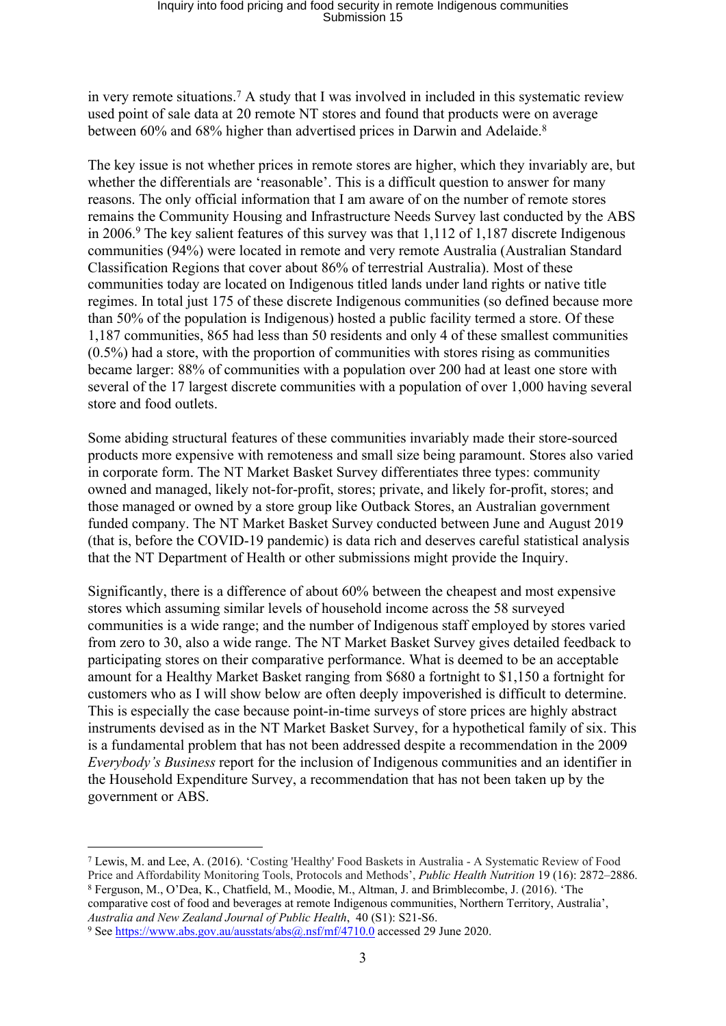in very remote situations.<sup>7</sup> A study that I was involved in included in this systematic review used point of sale data at 20 remote NT stores and found that products were on average between 60% and 68% higher than advertised prices in Darwin and Adelaide.<sup>8</sup>

The key issue is not whether prices in remote stores are higher, which they invariably are, but whether the differentials are 'reasonable'. This is a difficult question to answer for many reasons. The only official information that I am aware of on the number of remote stores remains the Community Housing and Infrastructure Needs Survey last conducted by the ABS in 2006.<sup>9</sup> The key salient features of this survey was that 1,112 of 1,187 discrete Indigenous communities (94%) were located in remote and very remote Australia (Australian Standard Classification Regions that cover about 86% of terrestrial Australia). Most of these communities today are located on Indigenous titled lands under land rights or native title regimes. In total just 175 of these discrete Indigenous communities (so defined because more than 50% of the population is Indigenous) hosted a public facility termed a store. Of these 1,187 communities, 865 had less than 50 residents and only 4 of these smallest communities (0.5%) had a store, with the proportion of communities with stores rising as communities became larger: 88% of communities with a population over 200 had at least one store with several of the 17 largest discrete communities with a population of over 1,000 having several store and food outlets.

Some abiding structural features of these communities invariably made their store-sourced products more expensive with remoteness and small size being paramount. Stores also varied in corporate form. The NT Market Basket Survey differentiates three types: community owned and managed, likely not-for-profit, stores; private, and likely for-profit, stores; and those managed or owned by a store group like Outback Stores, an Australian government funded company. The NT Market Basket Survey conducted between June and August 2019 (that is, before the COVID-19 pandemic) is data rich and deserves careful statistical analysis that the NT Department of Health or other submissions might provide the Inquiry.

Significantly, there is a difference of about 60% between the cheapest and most expensive stores which assuming similar levels of household income across the 58 surveyed communities is a wide range; and the number of Indigenous staff employed by stores varied from zero to 30, also a wide range. The NT Market Basket Survey gives detailed feedback to participating stores on their comparative performance. What is deemed to be an acceptable amount for a Healthy Market Basket ranging from \$680 a fortnight to \$1,150 a fortnight for customers who as I will show below are often deeply impoverished is difficult to determine. This is especially the case because point-in-time surveys of store prices are highly abstract instruments devised as in the NT Market Basket Survey, for a hypothetical family of six. This is a fundamental problem that has not been addressed despite a recommendation in the 2009 *Everybody's Business* report for the inclusion of Indigenous communities and an identifier in the Household Expenditure Survey, a recommendation that has not been taken up by the government or ABS.

<sup>8</sup> Ferguson, M., O'Dea, K., Chatfield, M., Moodie, M., Altman, J. and Brimblecombe, J. (2016). 'The comparative cost of food and beverages at remote Indigenous communities, Northern Territory, Australia',

*Australia and New Zealand Journal of Public Health*, 40 (S1): S21-S6.

<sup>7</sup> Lewis, M. and Lee, A. (2016). 'Costing 'Healthy' Food Baskets in Australia - A Systematic Review of Food Price and Affordability Monitoring Tools, Protocols and Methods', *Public Health Nutrition* 19 (16): 2872–2886.

<sup>9</sup> See <https://www.abs.gov.au/ausstats/abs@.nsf/mf/4710.0> accessed 29 June 2020.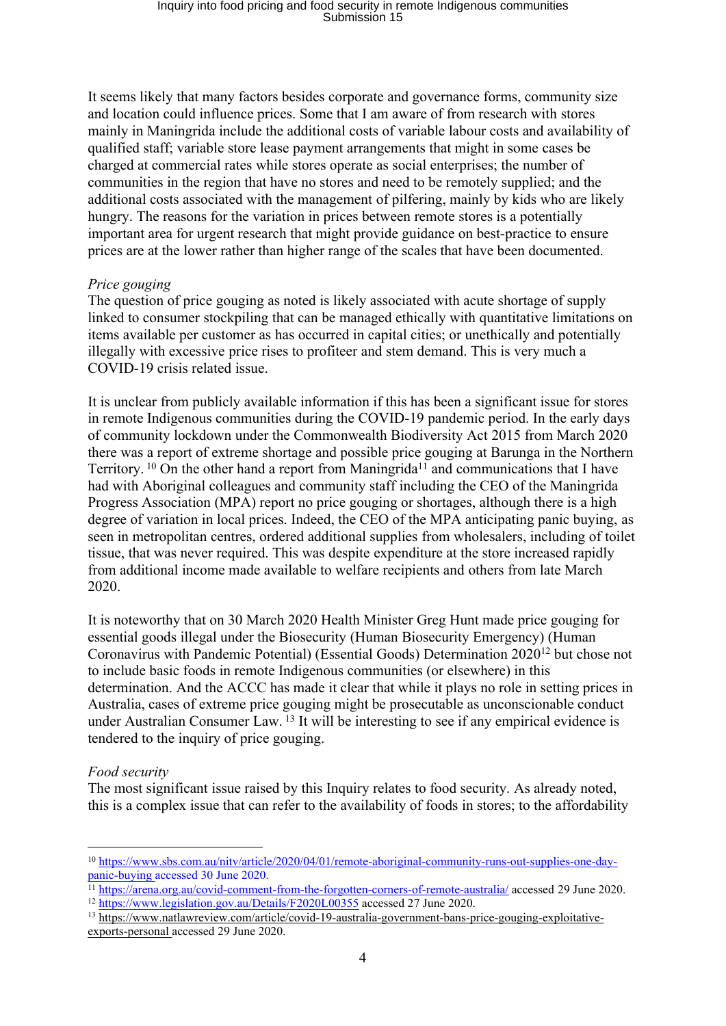It seems likely that many factors besides corporate and governance forms, community size and location could influence prices. Some that I am aware of from research with stores mainly in Maningrida include the additional costs of variable labour costs and availability of qualified staff; variable store lease payment arrangements that might in some cases be charged at commercial rates while stores operate as social enterprises; the number of communities in the region that have no stores and need to be remotely supplied; and the additional costs associated with the management of pilfering, mainly by kids who are likely hungry. The reasons for the variation in prices between remote stores is a potentially important area for urgent research that might provide guidance on best-practice to ensure prices are at the lower rather than higher range of the scales that have been documented.

#### *Price gouging*

The question of price gouging as noted is likely associated with acute shortage of supply linked to consumer stockpiling that can be managed ethically with quantitative limitations on items available per customer as has occurred in capital cities; or unethically and potentially illegally with excessive price rises to profiteer and stem demand. This is very much a COVID-19 crisis related issue.

It is unclear from publicly available information if this has been a significant issue for stores in remote Indigenous communities during the COVID-19 pandemic period. In the early days of community lockdown under the Commonwealth Biodiversity Act 2015 from March 2020 there was a report of extreme shortage and possible price gouging at Barunga in the Northern Territory. <sup>10</sup> On the other hand a report from Maningrida<sup>11</sup> and communications that I have had with Aboriginal colleagues and community staff including the CEO of the Maningrida Progress Association (MPA) report no price gouging or shortages, although there is a high degree of variation in local prices. Indeed, the CEO of the MPA anticipating panic buying, as seen in metropolitan centres, ordered additional supplies from wholesalers, including of toilet tissue, that was never required. This was despite expenditure at the store increased rapidly from additional income made available to welfare recipients and others from late March 2020.

It is noteworthy that on 30 March 2020 Health Minister Greg Hunt made price gouging for essential goods illegal under the Biosecurity (Human Biosecurity Emergency) (Human Coronavirus with Pandemic Potential) (Essential Goods) Determination 2020<sup>12</sup> but chose not to include basic foods in remote Indigenous communities (or elsewhere) in this determination. And the ACCC has made it clear that while it plays no role in setting prices in Australia, cases of extreme price gouging might be prosecutable as unconscionable conduct under Australian Consumer Law. <sup>13</sup> It will be interesting to see if any empirical evidence is tendered to the inquiry of price gouging.

## *Food security*

The most significant issue raised by this Inquiry relates to food security. As already noted, this is a complex issue that can refer to the availability of foods in stores; to the affordability

<sup>10</sup> [https://www.sbs.com.au/nitv/article/2020/04/01/remote-aboriginal-community-runs-out-supplies-one-day](https://www.sbs.com.au/nitv/article/2020/04/01/remote-aboriginal-community-runs-out-supplies-one-day-panic-buying)[panic-buying](https://www.sbs.com.au/nitv/article/2020/04/01/remote-aboriginal-community-runs-out-supplies-one-day-panic-buying) accessed 30 June 2020.

<sup>&</sup>lt;sup>11</sup> <https://arena.org.au/covid-comment-from-the-forgotten-corners-of-remote-australia/> accessed 29 June 2020.

<sup>12</sup> <https://www.legislation.gov.au/Details/F2020L00355> accessed 27 June 2020.

<sup>13</sup> [https://www.natlawreview.com/article/covid-19-australia-government-bans-price-gouging-exploitative](https://www.natlawreview.com/article/covid-19-australia-government-bans-price-gouging-exploitative-exports-personal)[exports-personal](https://www.natlawreview.com/article/covid-19-australia-government-bans-price-gouging-exploitative-exports-personal) accessed 29 June 2020.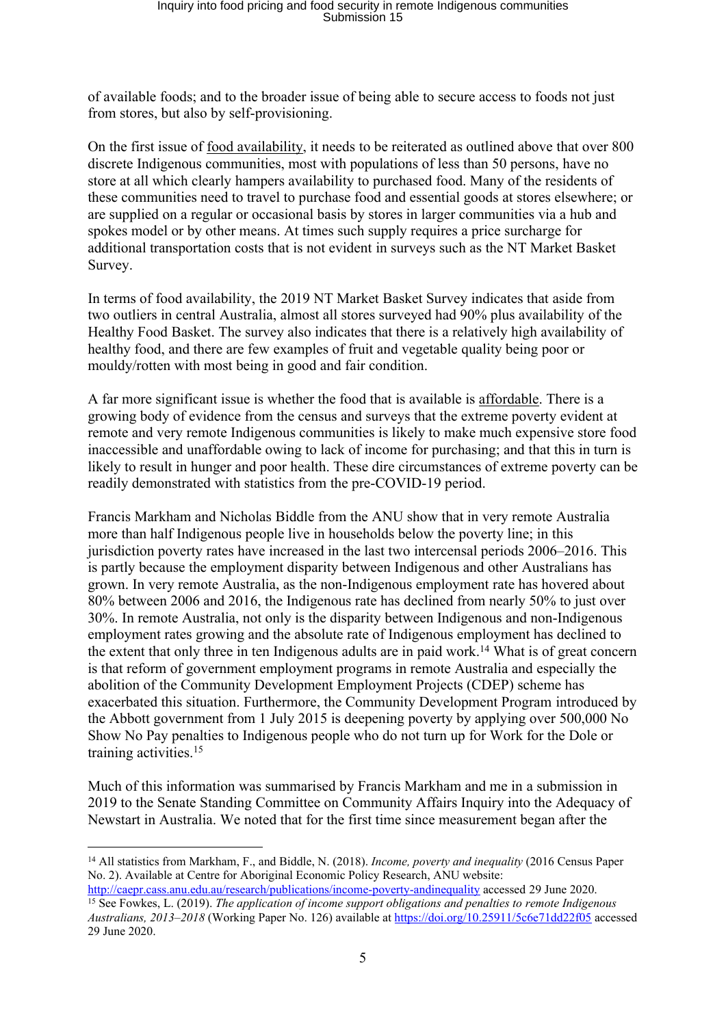of available foods; and to the broader issue of being able to secure access to foods not just from stores, but also by self-provisioning.

On the first issue of food availability, it needs to be reiterated as outlined above that over 800 discrete Indigenous communities, most with populations of less than 50 persons, have no store at all which clearly hampers availability to purchased food. Many of the residents of these communities need to travel to purchase food and essential goods at stores elsewhere; or are supplied on a regular or occasional basis by stores in larger communities via a hub and spokes model or by other means. At times such supply requires a price surcharge for additional transportation costs that is not evident in surveys such as the NT Market Basket Survey.

In terms of food availability, the 2019 NT Market Basket Survey indicates that aside from two outliers in central Australia, almost all stores surveyed had 90% plus availability of the Healthy Food Basket. The survey also indicates that there is a relatively high availability of healthy food, and there are few examples of fruit and vegetable quality being poor or mouldy/rotten with most being in good and fair condition.

A far more significant issue is whether the food that is available is affordable. There is a growing body of evidence from the census and surveys that the extreme poverty evident at remote and very remote Indigenous communities is likely to make much expensive store food inaccessible and unaffordable owing to lack of income for purchasing; and that this in turn is likely to result in hunger and poor health. These dire circumstances of extreme poverty can be readily demonstrated with statistics from the pre-COVID-19 period.

Francis Markham and Nicholas Biddle from the ANU show that in very remote Australia more than half Indigenous people live in households below the poverty line; in this jurisdiction poverty rates have increased in the last two intercensal periods 2006–2016. This is partly because the employment disparity between Indigenous and other Australians has grown. In very remote Australia, as the non-Indigenous employment rate has hovered about 80% between 2006 and 2016, the Indigenous rate has declined from nearly 50% to just over 30%. In remote Australia, not only is the disparity between Indigenous and non-Indigenous employment rates growing and the absolute rate of Indigenous employment has declined to the extent that only three in ten Indigenous adults are in paid work.<sup>14</sup> What is of great concern is that reform of government employment programs in remote Australia and especially the abolition of the Community Development Employment Projects (CDEP) scheme has exacerbated this situation. Furthermore, the Community Development Program introduced by the Abbott government from 1 July 2015 is deepening poverty by applying over 500,000 No Show No Pay penalties to Indigenous people who do not turn up for Work for the Dole or training activities.<sup>15</sup>

Much of this information was summarised by Francis Markham and me in a submission in 2019 to the Senate Standing Committee on Community Affairs Inquiry into the Adequacy of Newstart in Australia. We noted that for the first time since measurement began after the

<sup>14</sup> All statistics from Markham, F., and Biddle, N. (2018). *Income, poverty and inequality* (2016 Census Paper No. 2). Available at Centre for Aboriginal Economic Policy Research, ANU website:

<http://caepr.cass.anu.edu.au/research/publications/income-poverty-andinequality> accessed 29 June 2020. <sup>15</sup> See Fowkes, L. (2019). *The application of income support obligations and penalties to remote Indigenous Australians, 2013–2018* (Working Paper No. 126) available at <https://doi.org/10.25911/5c6e71dd22f05> accessed 29 June 2020.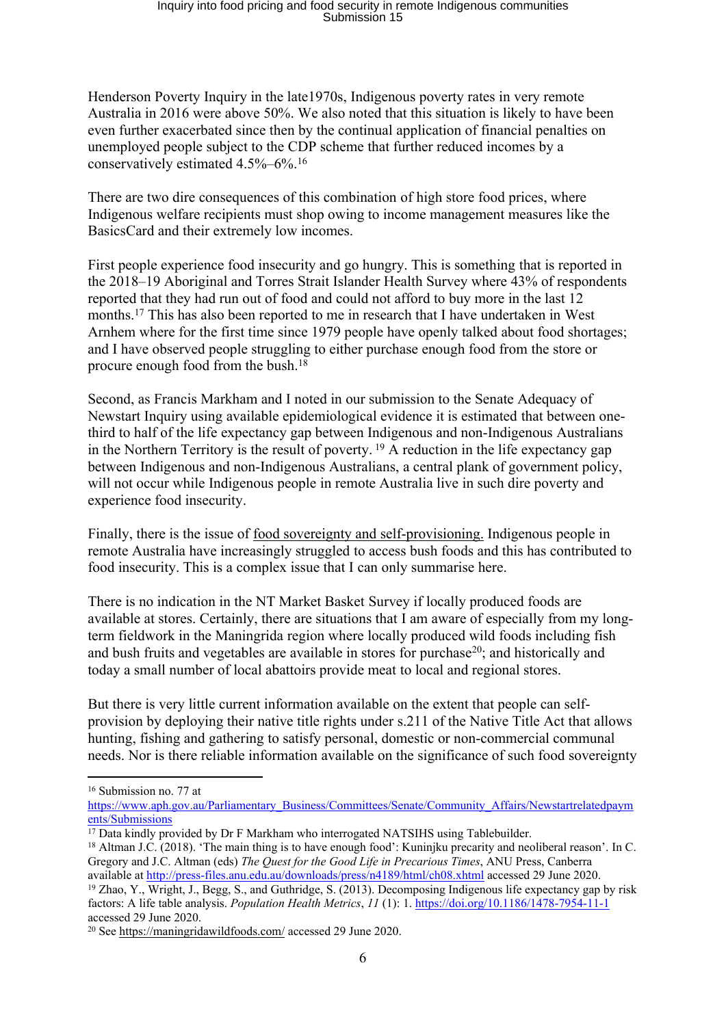Henderson Poverty Inquiry in the late1970s, Indigenous poverty rates in very remote Australia in 2016 were above 50%. We also noted that this situation is likely to have been even further exacerbated since then by the continual application of financial penalties on unemployed people subject to the CDP scheme that further reduced incomes by a conservatively estimated 4.5%–6%.<sup>16</sup>

There are two dire consequences of this combination of high store food prices, where Indigenous welfare recipients must shop owing to income management measures like the BasicsCard and their extremely low incomes.

First people experience food insecurity and go hungry. This is something that is reported in the 2018–19 Aboriginal and Torres Strait Islander Health Survey where 43% of respondents reported that they had run out of food and could not afford to buy more in the last 12 months.<sup>17</sup> This has also been reported to me in research that I have undertaken in West Arnhem where for the first time since 1979 people have openly talked about food shortages; and I have observed people struggling to either purchase enough food from the store or procure enough food from the bush.<sup>18</sup>

Second, as Francis Markham and I noted in our submission to the Senate Adequacy of Newstart Inquiry using available epidemiological evidence it is estimated that between onethird to half of the life expectancy gap between Indigenous and non-Indigenous Australians in the Northern Territory is the result of poverty.  $19$  A reduction in the life expectancy gap between Indigenous and non-Indigenous Australians, a central plank of government policy, will not occur while Indigenous people in remote Australia live in such dire poverty and experience food insecurity.

Finally, there is the issue of food sovereignty and self-provisioning. Indigenous people in remote Australia have increasingly struggled to access bush foods and this has contributed to food insecurity. This is a complex issue that I can only summarise here.

There is no indication in the NT Market Basket Survey if locally produced foods are available at stores. Certainly, there are situations that I am aware of especially from my longterm fieldwork in the Maningrida region where locally produced wild foods including fish and bush fruits and vegetables are available in stores for purchase<sup>20</sup>; and historically and today a small number of local abattoirs provide meat to local and regional stores.

But there is very little current information available on the extent that people can selfprovision by deploying their native title rights under s.211 of the Native Title Act that allows hunting, fishing and gathering to satisfy personal, domestic or non-commercial communal needs. Nor is there reliable information available on the significance of such food sovereignty

<sup>16</sup> Submission no. 77 at

[https://www.aph.gov.au/Parliamentary\\_Business/Committees/Senate/Community\\_Affairs/Newstartrelatedpaym](https://www.aph.gov.au/Parliamentary_Business/Committees/Senate/Community_Affairs/Newstartrelatedpayments/Submissions) [ents/Submissions](https://www.aph.gov.au/Parliamentary_Business/Committees/Senate/Community_Affairs/Newstartrelatedpayments/Submissions)

<sup>&</sup>lt;sup>17</sup> Data kindly provided by Dr F Markham who interrogated NATSIHS using Tablebuilder.

<sup>&</sup>lt;sup>18</sup> Altman J.C. (2018). 'The main thing is to have enough food': Kuniniku precarity and neoliberal reason'. In C. Gregory and J.C. Altman (eds) *The Quest for the Good Life in Precarious Times*, ANU Press, Canberra available at <http://press-files.anu.edu.au/downloads/press/n4189/html/ch08.xhtml> accessed 29 June 2020.

<sup>19</sup> Zhao, Y., Wright, J., Begg, S., and Guthridge, S. (2013). Decomposing Indigenous life expectancy gap by risk factors: A life table analysis. *Population Health Metrics*, *11* (1): 1. <https://doi.org/10.1186/1478-7954-11-1> accessed 29 June 2020.

<sup>20</sup> See <https://maningridawildfoods.com/> accessed 29 June 2020.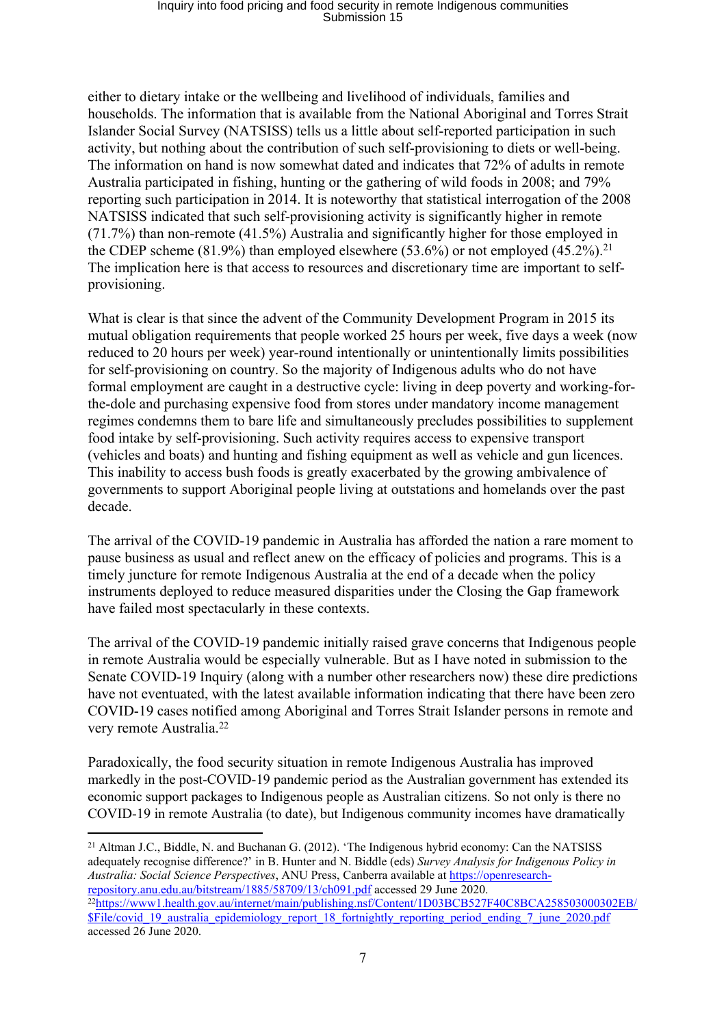either to dietary intake or the wellbeing and livelihood of individuals, families and households. The information that is available from the National Aboriginal and Torres Strait Islander Social Survey (NATSISS) tells us a little about self-reported participation in such activity, but nothing about the contribution of such self-provisioning to diets or well-being. The information on hand is now somewhat dated and indicates that 72% of adults in remote Australia participated in fishing, hunting or the gathering of wild foods in 2008; and 79% reporting such participation in 2014. It is noteworthy that statistical interrogation of the 2008 NATSISS indicated that such self-provisioning activity is significantly higher in remote (71.7%) than non-remote (41.5%) Australia and significantly higher for those employed in the CDEP scheme  $(81.9\%)$  than employed elsewhere  $(53.6\%)$  or not employed  $(45.2\%)$ <sup>21</sup> The implication here is that access to resources and discretionary time are important to selfprovisioning.

What is clear is that since the advent of the Community Development Program in 2015 its mutual obligation requirements that people worked 25 hours per week, five days a week (now reduced to 20 hours per week) year-round intentionally or unintentionally limits possibilities for self-provisioning on country. So the majority of Indigenous adults who do not have formal employment are caught in a destructive cycle: living in deep poverty and working-forthe-dole and purchasing expensive food from stores under mandatory income management regimes condemns them to bare life and simultaneously precludes possibilities to supplement food intake by self-provisioning. Such activity requires access to expensive transport (vehicles and boats) and hunting and fishing equipment as well as vehicle and gun licences. This inability to access bush foods is greatly exacerbated by the growing ambivalence of governments to support Aboriginal people living at outstations and homelands over the past decade.

The arrival of the COVID-19 pandemic in Australia has afforded the nation a rare moment to pause business as usual and reflect anew on the efficacy of policies and programs. This is a timely juncture for remote Indigenous Australia at the end of a decade when the policy instruments deployed to reduce measured disparities under the Closing the Gap framework have failed most spectacularly in these contexts.

The arrival of the COVID-19 pandemic initially raised grave concerns that Indigenous people in remote Australia would be especially vulnerable. But as I have noted in submission to the Senate COVID-19 Inquiry (along with a number other researchers now) these dire predictions have not eventuated, with the latest available information indicating that there have been zero COVID-19 cases notified among Aboriginal and Torres Strait Islander persons in remote and very remote Australia.<sup>22</sup>

Paradoxically, the food security situation in remote Indigenous Australia has improved markedly in the post-COVID-19 pandemic period as the Australian government has extended its economic support packages to Indigenous people as Australian citizens. So not only is there no COVID-19 in remote Australia (to date), but Indigenous community incomes have dramatically

<sup>21</sup> Altman J.C., Biddle, N. and Buchanan G. (2012). 'The Indigenous hybrid economy: Can the NATSISS adequately recognise difference?' in B. Hunter and N. Biddle (eds) *Survey Analysis for Indigenous Policy in Australia: Social Science Perspectives*, ANU Press, Canberra available at [https://openresearch](https://openresearch-repository.anu.edu.au/bitstream/1885/58709/13/ch091.pdf)[repository.anu.edu.au/bitstream/1885/58709/13/ch091.pdf](https://openresearch-repository.anu.edu.au/bitstream/1885/58709/13/ch091.pdf) accessed 29 June 2020. <sup>22</sup>[https://www1.health.gov.au/internet/main/publishing.nsf/Content/1D03BCB527F40C8BCA258503000302EB/](https://www1.health.gov.au/internet/main/publishing.nsf/Content/1D03BCB527F40C8BCA258503000302EB/$File/covid_19_australia_epidemiology_report_18_fortnightly_reporting_period_ending_7_june_2020.pdf) [\\$File/covid\\_19\\_australia\\_epidemiology\\_report\\_18\\_fortnightly\\_reporting\\_period\\_ending\\_7\\_june\\_2020.pdf](https://www1.health.gov.au/internet/main/publishing.nsf/Content/1D03BCB527F40C8BCA258503000302EB/$File/covid_19_australia_epidemiology_report_18_fortnightly_reporting_period_ending_7_june_2020.pdf) accessed 26 June 2020.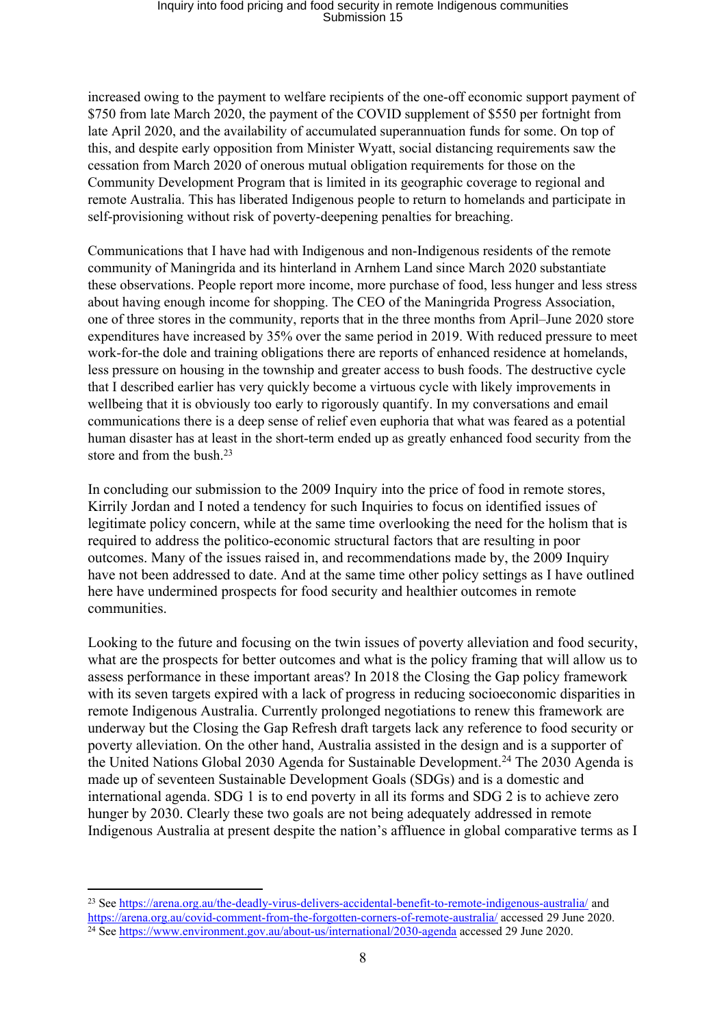increased owing to the payment to welfare recipients of the one-off economic support payment of \$750 from late March 2020, the payment of the COVID supplement of \$550 per fortnight from late April 2020, and the availability of accumulated superannuation funds for some. On top of this, and despite early opposition from Minister Wyatt, social distancing requirements saw the cessation from March 2020 of onerous mutual obligation requirements for those on the Community Development Program that is limited in its geographic coverage to regional and remote Australia. This has liberated Indigenous people to return to homelands and participate in self-provisioning without risk of poverty-deepening penalties for breaching.

Communications that I have had with Indigenous and non-Indigenous residents of the remote community of Maningrida and its hinterland in Arnhem Land since March 2020 substantiate these observations. People report more income, more purchase of food, less hunger and less stress about having enough income for shopping. The CEO of the Maningrida Progress Association, one of three stores in the community, reports that in the three months from April–June 2020 store expenditures have increased by 35% over the same period in 2019. With reduced pressure to meet work-for-the dole and training obligations there are reports of enhanced residence at homelands, less pressure on housing in the township and greater access to bush foods. The destructive cycle that I described earlier has very quickly become a virtuous cycle with likely improvements in wellbeing that it is obviously too early to rigorously quantify. In my conversations and email communications there is a deep sense of relief even euphoria that what was feared as a potential human disaster has at least in the short-term ended up as greatly enhanced food security from the store and from the bush.<sup>23</sup>

In concluding our submission to the 2009 Inquiry into the price of food in remote stores, Kirrily Jordan and I noted a tendency for such Inquiries to focus on identified issues of legitimate policy concern, while at the same time overlooking the need for the holism that is required to address the politico-economic structural factors that are resulting in poor outcomes. Many of the issues raised in, and recommendations made by, the 2009 Inquiry have not been addressed to date. And at the same time other policy settings as I have outlined here have undermined prospects for food security and healthier outcomes in remote communities.

Looking to the future and focusing on the twin issues of poverty alleviation and food security, what are the prospects for better outcomes and what is the policy framing that will allow us to assess performance in these important areas? In 2018 the Closing the Gap policy framework with its seven targets expired with a lack of progress in reducing socioeconomic disparities in remote Indigenous Australia. Currently prolonged negotiations to renew this framework are underway but the Closing the Gap Refresh draft targets lack any reference to food security or poverty alleviation. On the other hand, Australia assisted in the design and is a supporter of the United Nations Global 2030 Agenda for Sustainable Development.<sup>24</sup> The 2030 Agenda is made up of seventeen Sustainable Development Goals (SDGs) and is a domestic and international agenda. SDG 1 is to end poverty in all its forms and SDG 2 is to achieve zero hunger by 2030. Clearly these two goals are not being adequately addressed in remote Indigenous Australia at present despite the nation's affluence in global comparative terms as I

<sup>23</sup> See <https://arena.org.au/the-deadly-virus-delivers-accidental-benefit-to-remote-indigenous-australia/> and <https://arena.org.au/covid-comment-from-the-forgotten-corners-of-remote-australia/> accessed 29 June 2020. <sup>24</sup> See <https://www.environment.gov.au/about-us/international/2030-agenda> accessed 29 June 2020.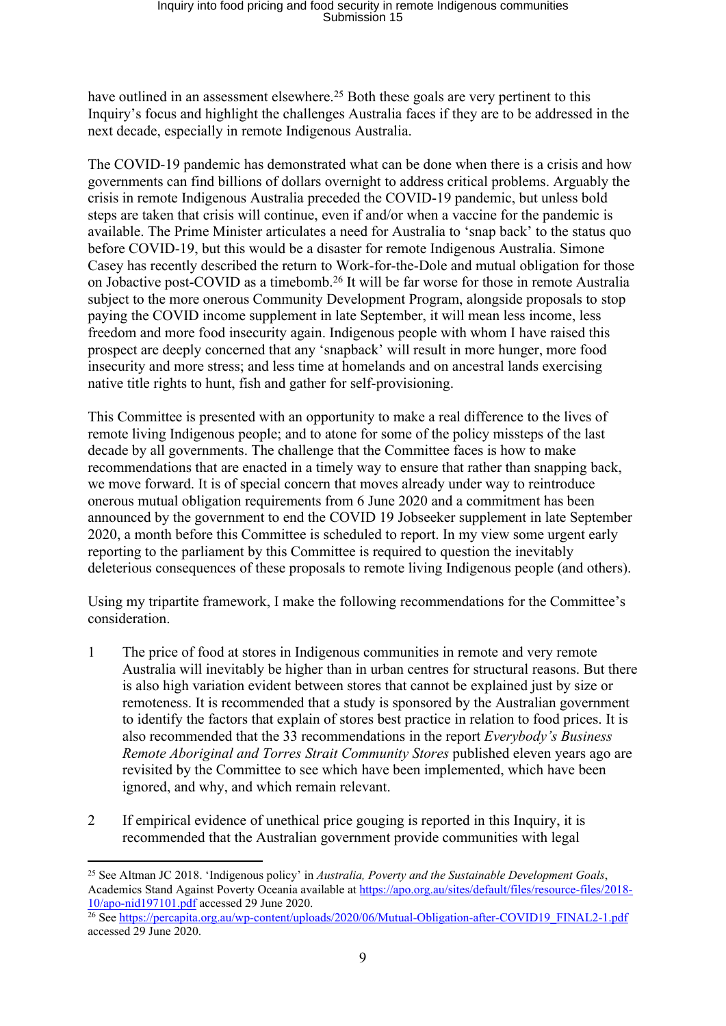have outlined in an assessment elsewhere.<sup>25</sup> Both these goals are very pertinent to this Inquiry's focus and highlight the challenges Australia faces if they are to be addressed in the next decade, especially in remote Indigenous Australia.

The COVID-19 pandemic has demonstrated what can be done when there is a crisis and how governments can find billions of dollars overnight to address critical problems. Arguably the crisis in remote Indigenous Australia preceded the COVID-19 pandemic, but unless bold steps are taken that crisis will continue, even if and/or when a vaccine for the pandemic is available. The Prime Minister articulates a need for Australia to 'snap back' to the status quo before COVID-19, but this would be a disaster for remote Indigenous Australia. Simone Casey has recently described the return to Work-for-the-Dole and mutual obligation for those on Jobactive post-COVID as a timebomb.<sup>26</sup> It will be far worse for those in remote Australia subject to the more onerous Community Development Program, alongside proposals to stop paying the COVID income supplement in late September, it will mean less income, less freedom and more food insecurity again. Indigenous people with whom I have raised this prospect are deeply concerned that any 'snapback' will result in more hunger, more food insecurity and more stress; and less time at homelands and on ancestral lands exercising native title rights to hunt, fish and gather for self-provisioning.

This Committee is presented with an opportunity to make a real difference to the lives of remote living Indigenous people; and to atone for some of the policy missteps of the last decade by all governments. The challenge that the Committee faces is how to make recommendations that are enacted in a timely way to ensure that rather than snapping back, we move forward. It is of special concern that moves already under way to reintroduce onerous mutual obligation requirements from 6 June 2020 and a commitment has been announced by the government to end the COVID 19 Jobseeker supplement in late September 2020, a month before this Committee is scheduled to report. In my view some urgent early reporting to the parliament by this Committee is required to question the inevitably deleterious consequences of these proposals to remote living Indigenous people (and others).

Using my tripartite framework, I make the following recommendations for the Committee's consideration.

- 1 The price of food at stores in Indigenous communities in remote and very remote Australia will inevitably be higher than in urban centres for structural reasons. But there is also high variation evident between stores that cannot be explained just by size or remoteness. It is recommended that a study is sponsored by the Australian government to identify the factors that explain of stores best practice in relation to food prices. It is also recommended that the 33 recommendations in the report *Everybody's Business Remote Aboriginal and Torres Strait Community Stores* published eleven years ago are revisited by the Committee to see which have been implemented, which have been ignored, and why, and which remain relevant.
- 2 If empirical evidence of unethical price gouging is reported in this Inquiry, it is recommended that the Australian government provide communities with legal

<sup>25</sup> See Altman JC 2018. 'Indigenous policy' in *Australia, Poverty and the Sustainable Development Goals*, Academics Stand Against Poverty Oceania available at [https://apo.org.au/sites/default/files/resource-files/2018-](https://apo.org.au/sites/default/files/resource-files/2018-10/apo-nid197101.pdf) [10/apo-nid197101.pdf](https://apo.org.au/sites/default/files/resource-files/2018-10/apo-nid197101.pdf) accessed 29 June 2020.

<sup>&</sup>lt;sup>26</sup> See [https://percapita.org.au/wp-content/uploads/2020/06/Mutual-Obligation-after-COVID19\\_FINAL2-1.pdf](https://percapita.org.au/wp-content/uploads/2020/06/Mutual-Obligation-after-COVID19_FINAL2-1.pdf) accessed 29 June 2020.